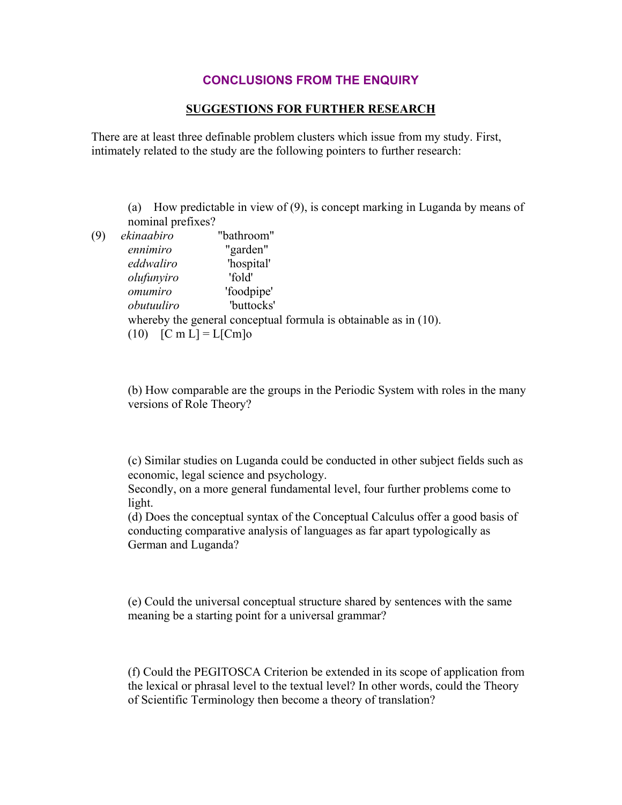## **CONCLUSIONS FROM THE ENQUIRY**

## **SUGGESTIONS FOR FURTHER RESEARCH**

There are at least three definable problem clusters which issue from my study. First, intimately related to the study are the following pointers to further research:

(a) How predictable in view of (9), is concept marking in Luganda by means of nominal prefixes?

(9) *ekinaabiro* "bathroom" *ennimiro* "garden" *eddwaliro* 'hospital' *olufunyiro* 'fold' *omumiro* 'foodpipe' *obutuuliro* 'buttocks' whereby the general conceptual formula is obtainable as in  $(10)$ . (10)  $[C \, m \, L] = L[Cm]_0$ 

> (b) How comparable are the groups in the Periodic System with roles in the many versions of Role Theory?

> (c) Similar studies on Luganda could be conducted in other subject fields such as economic, legal science and psychology.

Secondly, on a more general fundamental level, four further problems come to light.

(d) Does the conceptual syntax of the Conceptual Calculus offer a good basis of conducting comparative analysis of languages as far apart typologically as German and Luganda?

(e) Could the universal conceptual structure shared by sentences with the same meaning be a starting point for a universal grammar?

(f) Could the PEGITOSCA Criterion be extended in its scope of application from the lexical or phrasal level to the textual level? In other words, could the Theory of Scientific Terminology then become a theory of translation?